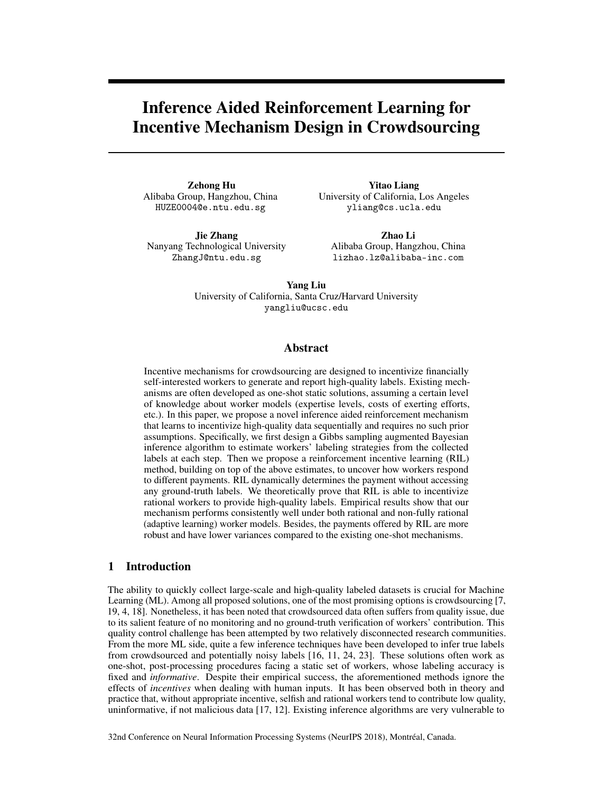# Inference Aided Reinforcement Learning for Incentive Mechanism Design in Crowdsourcing

Zehong Hu Alibaba Group, Hangzhou, China HUZE0004@e.ntu.edu.sg

Jie Zhang Nanyang Technological University ZhangJ@ntu.edu.sg

Yitao Liang University of California, Los Angeles yliang@cs.ucla.edu

Zhao Li Alibaba Group, Hangzhou, China lizhao.lz@alibaba-inc.com

Yang Liu University of California, Santa Cruz/Harvard University yangliu@ucsc.edu

## Abstract

Incentive mechanisms for crowdsourcing are designed to incentivize financially self-interested workers to generate and report high-quality labels. Existing mechanisms are often developed as one-shot static solutions, assuming a certain level of knowledge about worker models (expertise levels, costs of exerting efforts, etc.). In this paper, we propose a novel inference aided reinforcement mechanism that learns to incentivize high-quality data sequentially and requires no such prior assumptions. Specifically, we first design a Gibbs sampling augmented Bayesian inference algorithm to estimate workers' labeling strategies from the collected labels at each step. Then we propose a reinforcement incentive learning (RIL) method, building on top of the above estimates, to uncover how workers respond to different payments. RIL dynamically determines the payment without accessing any ground-truth labels. We theoretically prove that RIL is able to incentivize rational workers to provide high-quality labels. Empirical results show that our mechanism performs consistently well under both rational and non-fully rational (adaptive learning) worker models. Besides, the payments offered by RIL are more robust and have lower variances compared to the existing one-shot mechanisms.

# 1 Introduction

The ability to quickly collect large-scale and high-quality labeled datasets is crucial for Machine Learning (ML). Among all proposed solutions, one of the most promising options is crowdsourcing [7, 19, 4, 18]. Nonetheless, it has been noted that crowdsourced data often suffers from quality issue, due to its salient feature of no monitoring and no ground-truth verification of workers' contribution. This quality control challenge has been attempted by two relatively disconnected research communities. From the more ML side, quite a few inference techniques have been developed to infer true labels from crowdsourced and potentially noisy labels [16, 11, 24, 23]. These solutions often work as one-shot, post-processing procedures facing a static set of workers, whose labeling accuracy is fixed and *informative*. Despite their empirical success, the aforementioned methods ignore the effects of *incentives* when dealing with human inputs. It has been observed both in theory and practice that, without appropriate incentive, selfish and rational workers tend to contribute low quality, uninformative, if not malicious data [17, 12]. Existing inference algorithms are very vulnerable to

32nd Conference on Neural Information Processing Systems (NeurIPS 2018), Montréal, Canada.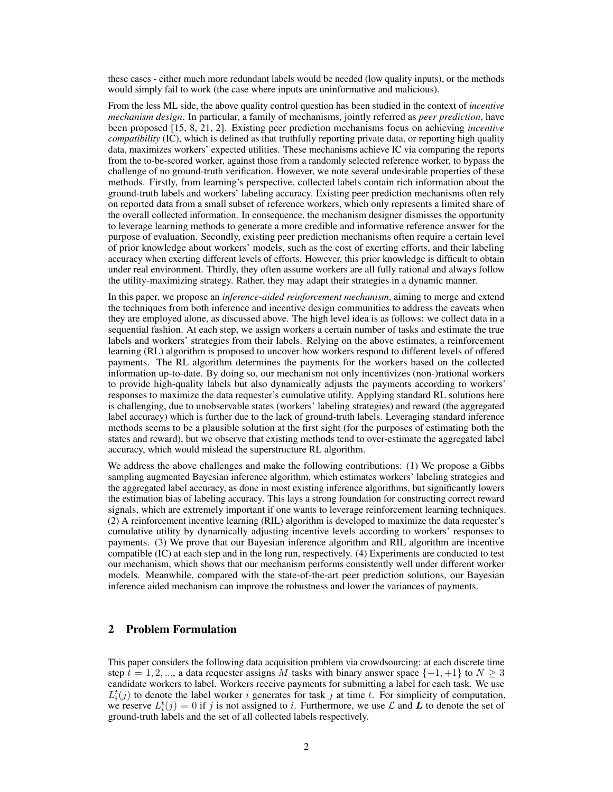these cases - either much more redundant labels would be needed (low quality inputs), or the methods would simply fail to work (the case where inputs are uninformative and malicious).

From the less ML side, the above quality control question has been studied in the context of *incentive mechanism design*. In particular, a family of mechanisms, jointly referred as *peer prediction*, have been proposed [15, 8, 21, 2]. Existing peer prediction mechanisms focus on achieving *incentive compatibility* (IC), which is defined as that truthfully reporting private data, or reporting high quality data, maximizes workers' expected utilities. These mechanisms achieve IC via comparing the reports from the to-be-scored worker, against those from a randomly selected reference worker, to bypass the challenge of no ground-truth verification. However, we note several undesirable properties of these methods. Firstly, from learning's perspective, collected labels contain rich information about the ground-truth labels and workers' labeling accuracy. Existing peer prediction mechanisms often rely on reported data from a small subset of reference workers, which only represents a limited share of the overall collected information. In consequence, the mechanism designer dismisses the opportunity to leverage learning methods to generate a more credible and informative reference answer for the purpose of evaluation. Secondly, existing peer prediction mechanisms often require a certain level of prior knowledge about workers' models, such as the cost of exerting efforts, and their labeling accuracy when exerting different levels of efforts. However, this prior knowledge is difficult to obtain under real environment. Thirdly, they often assume workers are all fully rational and always follow the utility-maximizing strategy. Rather, they may adapt their strategies in a dynamic manner.

In this paper, we propose an *inference-aided reinforcement mechanism*, aiming to merge and extend the techniques from both inference and incentive design communities to address the caveats when they are employed alone, as discussed above. The high level idea is as follows: we collect data in a sequential fashion. At each step, we assign workers a certain number of tasks and estimate the true labels and workers' strategies from their labels. Relying on the above estimates, a reinforcement learning (RL) algorithm is proposed to uncover how workers respond to different levels of offered payments. The RL algorithm determines the payments for the workers based on the collected information up-to-date. By doing so, our mechanism not only incentivizes (non-)rational workers to provide high-quality labels but also dynamically adjusts the payments according to workers' responses to maximize the data requester's cumulative utility. Applying standard RL solutions here is challenging, due to unobservable states (workers' labeling strategies) and reward (the aggregated label accuracy) which is further due to the lack of ground-truth labels. Leveraging standard inference methods seems to be a plausible solution at the first sight (for the purposes of estimating both the states and reward), but we observe that existing methods tend to over-estimate the aggregated label accuracy, which would mislead the superstructure RL algorithm.

We address the above challenges and make the following contributions: (1) We propose a Gibbs sampling augmented Bayesian inference algorithm, which estimates workers' labeling strategies and the aggregated label accuracy, as done in most existing inference algorithms, but significantly lowers the estimation bias of labeling accuracy. This lays a strong foundation for constructing correct reward signals, which are extremely important if one wants to leverage reinforcement learning techniques. (2) A reinforcement incentive learning (RIL) algorithm is developed to maximize the data requester's cumulative utility by dynamically adjusting incentive levels according to workers' responses to payments. (3) We prove that our Bayesian inference algorithm and RIL algorithm are incentive compatible (IC) at each step and in the long run, respectively. (4) Experiments are conducted to test our mechanism, which shows that our mechanism performs consistently well under different worker models. Meanwhile, compared with the state-of-the-art peer prediction solutions, our Bayesian inference aided mechanism can improve the robustness and lower the variances of payments.

# 2 Problem Formulation

This paper considers the following data acquisition problem via crowdsourcing: at each discrete time step  $t = 1, 2, \dots$ , a data requester assigns M tasks with binary answer space  $\{-1, +1\}$  to  $N \geq 3$ candidate workers to label. Workers receive payments for submitting a label for each task. We use  $L_i^t(j)$  to denote the label worker i generates for task j at time t. For simplicity of computation, we reserve  $L_i^t(j) = 0$  if j is not assigned to i. Furthermore, we use  $\mathcal L$  and  $\mathbf L$  to denote the set of ground-truth labels and the set of all collected labels respectively.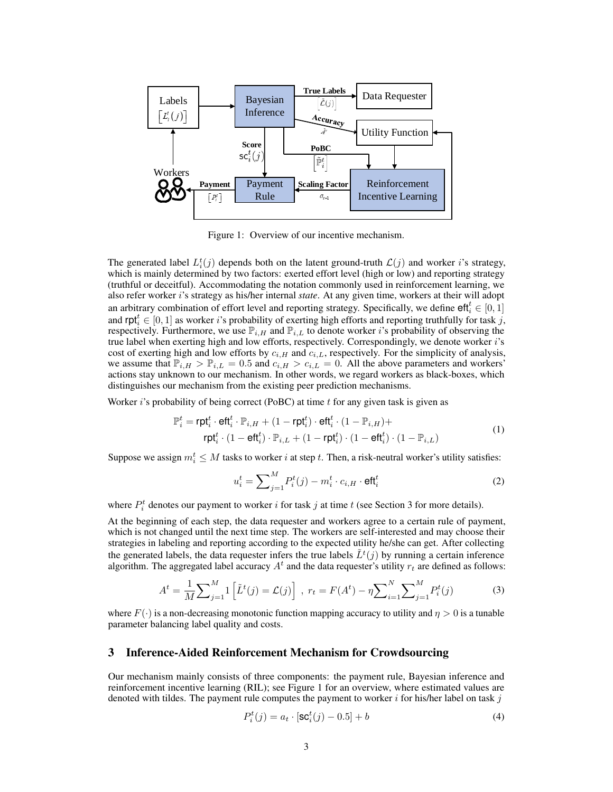

Figure 1: Overview of our incentive mechanism.

The generated label  $L_i^t(j)$  depends both on the latent ground-truth  $\mathcal{L}(j)$  and worker i's strategy, which is mainly determined by two factors: exerted effort level (high or low) and reporting strategy (truthful or deceitful). Accommodating the notation commonly used in reinforcement learning, we also refer worker i's strategy as his/her internal *state*. At any given time, workers at their will adopt an arbitrary combination of effort level and reporting strategy. Specifically, we define  $\mathsf{eff}_i^t \in [0,1]$ and  $\text{rpt}_i^t \in [0,1]$  as worker i's probability of exerting high efforts and reporting truthfully for task j, respectively. Furthermore, we use  $\mathbb{P}_{i,H}$  and  $\mathbb{P}_{i,L}$  to denote worker i's probability of observing the true label when exerting high and low efforts, respectively. Correspondingly, we denote worker i's cost of exerting high and low efforts by  $c_{i,H}$  and  $c_{i,L}$ , respectively. For the simplicity of analysis, we assume that  $\mathbb{P}_{i,H} > \mathbb{P}_{i,L} = 0.5$  and  $c_{i,H} > c_{i,L} = 0$ . All the above parameters and workers' actions stay unknown to our mechanism. In other words, we regard workers as black-boxes, which distinguishes our mechanism from the existing peer prediction mechanisms.

Worker  $i$ 's probability of being correct (PoBC) at time  $t$  for any given task is given as

$$
\mathbb{P}_i^t = \mathsf{rpt}_i^t \cdot \mathsf{eft}_i^t \cdot \mathbb{P}_{i,H} + (1 - \mathsf{rpt}_i^t) \cdot \mathsf{eft}_i^t \cdot (1 - \mathbb{P}_{i,H}) + \n\mathsf{rpt}_i^t \cdot (1 - \mathsf{eft}_i^t) \cdot \mathbb{P}_{i,L} + (1 - \mathsf{rpt}_i^t) \cdot (1 - \mathsf{eft}_i^t) \cdot (1 - \mathbb{P}_{i,L})
$$
\n(1)

Suppose we assign  $m_i^t \leq M$  tasks to worker *i* at step *t*. Then, a risk-neutral worker's utility satisfies:

$$
u_i^t = \sum_{j=1}^M P_i^t(j) - m_i^t \cdot c_{i,H} \cdot \mathsf{eff}_i^t \tag{2}
$$

where  $P_i^t$  denotes our payment to worker i for task j at time t (see Section 3 for more details).

At the beginning of each step, the data requester and workers agree to a certain rule of payment, which is not changed until the next time step. The workers are self-interested and may choose their strategies in labeling and reporting according to the expected utility he/she can get. After collecting the generated labels, the data requester infers the true labels  $\tilde{L}^t(j)$  by running a certain inference algorithm. The aggregated label accuracy  $A<sup>t</sup>$  and the data requester's utility  $r_t$  are defined as follows:

$$
A^{t} = \frac{1}{M} \sum_{j=1}^{M} \left[ \tilde{L}^{t}(j) = \mathcal{L}(j) \right], \ r_{t} = F(A^{t}) - \eta \sum_{i=1}^{N} \sum_{j=1}^{M} P_{i}^{t}(j)
$$
(3)

where  $F(\cdot)$  is a non-decreasing monotonic function mapping accuracy to utility and  $\eta > 0$  is a tunable parameter balancing label quality and costs.

## 3 Inference-Aided Reinforcement Mechanism for Crowdsourcing

Our mechanism mainly consists of three components: the payment rule, Bayesian inference and reinforcement incentive learning (RIL); see Figure 1 for an overview, where estimated values are denoted with tildes. The payment rule computes the payment to worker  $i$  for his/her label on task  $j$ 

$$
P_i^t(j) = a_t \cdot [\text{SC}_i^t(j) - 0.5] + b \tag{4}
$$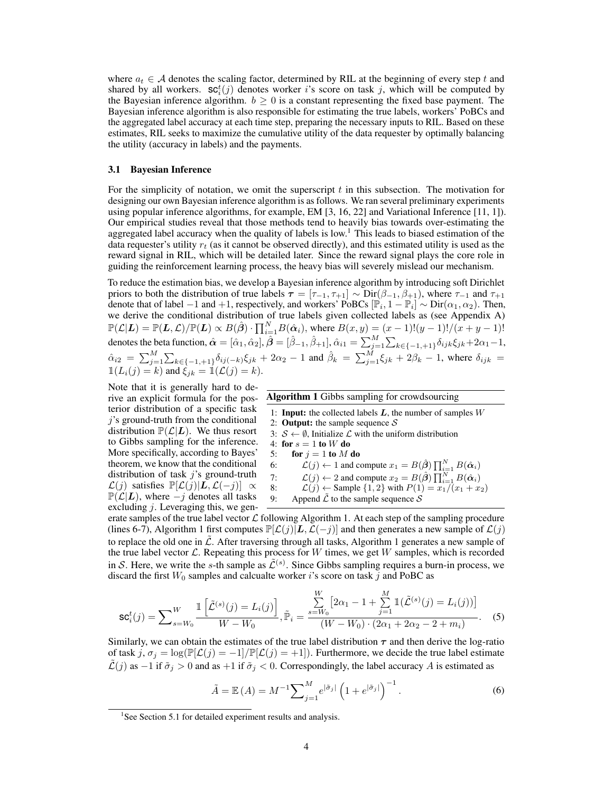where  $a_t \in A$  denotes the scaling factor, determined by RIL at the beginning of every step t and shared by all workers.  $\mathsf{sc}_i^t(j)$  denotes worker i's score on task j, which will be computed by the Bayesian inference algorithm.  $b \ge 0$  is a constant representing the fixed base payment. The Bayesian inference algorithm is also responsible for estimating the true labels, workers' PoBCs and the aggregated label accuracy at each time step, preparing the necessary inputs to RIL. Based on these estimates, RIL seeks to maximize the cumulative utility of the data requester by optimally balancing the utility (accuracy in labels) and the payments.

### 3.1 Bayesian Inference

For the simplicity of notation, we omit the superscript  $t$  in this subsection. The motivation for designing our own Bayesian inference algorithm is as follows. We ran several preliminary experiments using popular inference algorithms, for example, EM [3, 16, 22] and Variational Inference [11, 1]). Our empirical studies reveal that those methods tend to heavily bias towards over-estimating the aggregated label accuracy when the quality of labels is low.<sup>1</sup> This leads to biased estimation of the data requester's utility  $r_t$  (as it cannot be observed directly), and this estimated utility is used as the reward signal in RIL, which will be detailed later. Since the reward signal plays the core role in guiding the reinforcement learning process, the heavy bias will severely mislead our mechanism.

To reduce the estimation bias, we develop a Bayesian inference algorithm by introducing soft Dirichlet priors to both the distribution of true labels  $\tau = [\tau_{-1}, \tau_{+1}] \sim \text{Dir}(\beta_{-1}, \beta_{+1})$ , where  $\tau_{-1}$  and  $\tau_{+1}$ denote that of label  $-1$  and  $+1$ , respectively, and workers' PoBCs  $[\mathbb{P}_i, 1 - \mathbb{P}_i]$ denote that of label  $-1$  and  $+1$ , respectively, and workers' PoBCs  $[\mathbb{P}_i, 1 - \mathbb{P}_i] \sim \text{Dir}(\alpha_1, \alpha_2)$ . Then, we derive the conditional distribution of true labels given collected labels as (see Appendix A)  $\mathbb{P}(\mathcal{L}|L) = \mathbb{P}(L,\mathcal{L})/\mathbb{P}(L) \propto B(\hat{\beta}) \cdot \prod_{i=1}^{N} B(\hat{\alpha}_i)$ , where  $B(x,y) = (x-1)!(y-1)!/(x+y-1)!$ denotes the beta function,  $\hat{\boldsymbol{\alpha}}=[\hat{\alpha}_1,\hat{\alpha}_2], \hat{\boldsymbol{\beta}}=[\hat{\beta}_{-1},\hat{\beta}_{+1}], \hat{\alpha}_{i1}=\sum_{j=1}^M\sum_{k\in\{-1,+1\}}\delta_{ijk}\xi_{jk}+2\alpha_1-1,$  $\hat{\alpha}_{i2} = \sum_{j=1}^{M} \sum_{k \in \{-1, +1\}} \delta_{ij(-k)} \xi_{jk} + 2\alpha_2 - 1$  and  $\hat{\beta}_k = \sum_{j=1}^{M} \xi_{jk} + 2\beta_k - 1$ , where  $\delta_{ijk} =$  $\mathbb{1}(L_i(j) = k)$  and  $\xi_{jk} = \mathbb{1}(\mathcal{L}(j) = k)$ .

Note that it is generally hard to derive an explicit formula for the posterior distribution of a specific task j's ground-truth from the conditional distribution  $\mathbb{P}(\mathcal{L}|L)$ . We thus resort to Gibbs sampling for the inference. More specifically, according to Bayes' theorem, we know that the conditional distribution of task  $i$ 's ground-truth  $\mathcal{L}(j)$  satisfies  $\mathbb{P}[\mathcal{L}(j)|\mathbf{L}, \mathcal{L}(-j)] \propto$  $\mathbb{P}(\mathcal{L}|L)$ , where  $-j$  denotes all tasks excluding  $j$ . Leveraging this, we gen-

| <b>Algorithm 1</b> Gibbs sampling for crowdsourcing |                                                                                                                              |  |  |  |  |
|-----------------------------------------------------|------------------------------------------------------------------------------------------------------------------------------|--|--|--|--|
|                                                     | 1: <b>Input:</b> the collected labels $L$ , the number of samples $W$                                                        |  |  |  |  |
|                                                     | 2: <b>Output:</b> the sample sequence $S$                                                                                    |  |  |  |  |
|                                                     | 3: $S \leftarrow \emptyset$ , Initialize $\mathcal L$ with the uniform distribution                                          |  |  |  |  |
| 4: for $s = 1$ to W do                              |                                                                                                                              |  |  |  |  |
| 5:                                                  | for $i = 1$ to M do                                                                                                          |  |  |  |  |
| 6:                                                  | $\mathcal{L}(j) \leftarrow 1$ and compute $x_1 = B(\hat{\boldsymbol{\beta}}) \prod_{i=1}^{N} B(\hat{\boldsymbol{\alpha}}_i)$ |  |  |  |  |
| 7:                                                  | $\mathcal{L}(j) \leftarrow 2$ and compute $x_2 = B(\hat{\boldsymbol{\beta}}) \prod_{i=1}^{N} B(\hat{\boldsymbol{\alpha}}_i)$ |  |  |  |  |
| 8:                                                  | $\mathcal{L}(j) \leftarrow$ Sample $\{1,2\}$ with $P(1) = x_1/(x_1 + x_2)$                                                   |  |  |  |  |
| 9:                                                  | Append $\tilde{\mathcal{L}}$ to the sample sequence $\mathcal{S}$                                                            |  |  |  |  |

erate samples of the true label vector  $\mathcal L$  following Algorithm 1. At each step of the sampling procedure (lines 6-7), Algorithm 1 first computes  $\mathbb{P}[\mathcal{L}(j)|L,\mathcal{L}(-j)]$  and then generates a new sample of  $\mathcal{L}(j)$ to replace the old one in  $\tilde{\mathcal{L}}$ . After traversing through all tasks, Algorithm 1 generates a new sample of the true label vector  $\mathcal L$ . Repeating this process for W times, we get W samples, which is recorded in S. Here, we write the s-th sample as  $\tilde{\mathcal{L}}^{(s)}$ . Since Gibbs sampling requires a burn-in process, we discard the first  $W_0$  samples and calcualte worker i's score on task j and PoBC as

$$
\mathsf{sc}_{i}^{t}(j) = \sum_{s= W_{0}}^{W} \frac{\mathbb{1}\left[\tilde{\mathcal{L}}^{(s)}(j) = L_{i}(j)\right]}{W - W_{0}}, \tilde{\mathbb{P}}_{i} = \frac{\sum_{s= W_{0}}^{W} \left[2\alpha_{1} - 1 + \sum_{j=1}^{M} \mathbb{1}(\tilde{\mathcal{L}}^{(s)}(j) = L_{i}(j))\right]}{(W - W_{0}) \cdot (2\alpha_{1} + 2\alpha_{2} - 2 + m_{i})}.
$$
 (5)

Similarly, we can obtain the estimates of the true label distribution  $\tau$  and then derive the log-ratio of task j,  $\sigma_j = \log(\mathbb{P}[\mathcal{L}(j) = -1]/\mathbb{P}[\mathcal{L}(j) = +1])$ . Furthermore, we decide the true label estimate  $\mathcal{L}(j)$  as  $-1$  if  $\tilde{\sigma}_j > 0$  and as  $+1$  if  $\tilde{\sigma}_j < 0$ . Correspondingly, the label accuracy A is estimated as

$$
\tilde{A} = \mathbb{E}(A) = M^{-1} \sum_{j=1}^{M} e^{|\tilde{\sigma}_j|} \left( 1 + e^{|\tilde{\sigma}_j|} \right)^{-1}.
$$
 (6)

<sup>&</sup>lt;sup>1</sup>See Section 5.1 for detailed experiment results and analysis.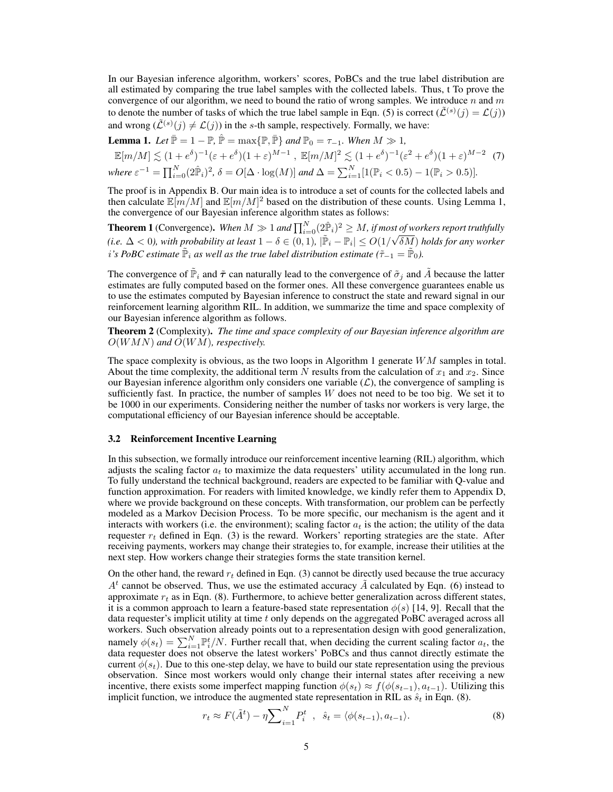In our Bayesian inference algorithm, workers' scores, PoBCs and the true label distribution are all estimated by comparing the true label samples with the collected labels. Thus, t To prove the convergence of our algorithm, we need to bound the ratio of wrong samples. We introduce n and m to denote the number of tasks of which the true label sample in Eqn. (5) is correct  $(\tilde{\mathcal{L}}^{(s)}(j) = \mathcal{L}(j))$ and wrong  $(\tilde{\mathcal{L}}^{(s)}(j) \neq \mathcal{L}(j))$  in the s-th sample, respectively. Formally, we have:

**Lemma 1.** *Let*  $\bar{\mathbb{P}} = 1 - \mathbb{P}$ ,  $\hat{\mathbb{P}} = \max{\{\mathbb{P}, \bar{\mathbb{P}}\}}$  *and*  $\mathbb{P}_0 = \tau_{-1}$ *. When*  $M \gg 1$ *,* 

$$
\mathbb{E}[m/M] \lesssim (1+e^{\delta})^{-1}(\varepsilon+e^{\delta})(1+\varepsilon)^{M-1}, \ \mathbb{E}[m/M]^2 \lesssim (1+e^{\delta})^{-1}(\varepsilon^2+e^{\delta})(1+\varepsilon)^{M-2} \tag{7}
$$
  
where  $\varepsilon^{-1} = \prod_{i=0}^N (2\hat{\mathbb{P}}_i)^2$ ,  $\delta = O[\Delta \cdot \log(M)]$  and  $\Delta = \sum_{i=1}^N [1(\mathbb{P}_i < 0.5) - 1(\mathbb{P}_i > 0.5)].$ 

The proof is in Appendix B. Our main idea is to introduce a set of counts for the collected labels and then calculate  $\mathbb{E}[m/M]$  and  $\mathbb{E}[m/M]^2$  based on the distribution of these counts. Using Lemma 1, the convergence of our Bayesian inference algorithm states as follows:

**Theorem 1** (Convergence). When  $M \gg 1$  and  $\prod_{i=0}^{N} (2\hat{P}_i)^2 \geq M$ , if most of workers report truthfully (*i.e.*  $\Delta < 0$ ), with probability at least  $1 - \delta \in (0, 1)$ ,  $|\tilde{P}_i - P_i| \le O(1/\sqrt{\delta M})$  holds for any worker *i*'s PoBC estimate  $\tilde{\mathbb{P}}_i$  as well as the true label distribution estimate ( $\tilde{\tau}_{-1} = \tilde{\mathbb{P}}_0$ ).

The convergence of  $\tilde{P}_i$  and  $\tilde{\tau}$  can naturally lead to the convergence of  $\tilde{\sigma}_j$  and  $\tilde{A}$  because the latter estimates are fully computed based on the former ones. All these convergence guarantees enable us to use the estimates computed by Bayesian inference to construct the state and reward signal in our reinforcement learning algorithm RIL. In addition, we summarize the time and space complexity of our Bayesian inference algorithm as follows.

Theorem 2 (Complexity). *The time and space complexity of our Bayesian inference algorithm are* O(WMN) *and* O(WM)*, respectively.*

The space complexity is obvious, as the two loops in Algorithm 1 generate WM samples in total. About the time complexity, the additional term N results from the calculation of  $x_1$  and  $x_2$ . Since our Bayesian inference algorithm only considers one variable  $(L)$ , the convergence of sampling is sufficiently fast. In practice, the number of samples  $W$  does not need to be too big. We set it to be 1000 in our experiments. Considering neither the number of tasks nor workers is very large, the computational efficiency of our Bayesian inference should be acceptable.

#### 3.2 Reinforcement Incentive Learning

In this subsection, we formally introduce our reinforcement incentive learning (RIL) algorithm, which adjusts the scaling factor  $a_t$  to maximize the data requesters' utility accumulated in the long run. To fully understand the technical background, readers are expected to be familiar with Q-value and function approximation. For readers with limited knowledge, we kindly refer them to Appendix D, where we provide background on these concepts. With transformation, our problem can be perfectly modeled as a Markov Decision Process. To be more specific, our mechanism is the agent and it interacts with workers (i.e. the environment); scaling factor  $a_t$  is the action; the utility of the data requester  $r_t$  defined in Eqn. (3) is the reward. Workers' reporting strategies are the state. After receiving payments, workers may change their strategies to, for example, increase their utilities at the next step. How workers change their strategies forms the state transition kernel.

On the other hand, the reward  $r_t$  defined in Eqn. (3) cannot be directly used because the true accuracy  $A<sup>t</sup>$  cannot be observed. Thus, we use the estimated accuracy  $\tilde{A}$  calculated by Eqn. (6) instead to approximate  $r_t$  as in Eqn. (8). Furthermore, to achieve better generalization across different states, it is a common approach to learn a feature-based state representation  $\phi(s)$  [14, 9]. Recall that the data requester's implicit utility at time  $t$  only depends on the aggregated PoBC averaged across all workers. Such observation already points out to a representation design with good generalization, namely  $\phi(s_t) = \sum_{i=1}^{N} \mathbb{P}_i^t / N$ . Further recall that, when deciding the current scaling factor  $a_t$ , the data requester does not observe the latest workers' PoBCs and thus cannot directly estimate the current  $\phi(s_t)$ . Due to this one-step delay, we have to build our state representation using the previous observation. Since most workers would only change their internal states after receiving a new incentive, there exists some imperfect mapping function  $\phi(s_t) \approx f(\phi(s_{t-1}), a_{t-1})$ . Utilizing this implicit function, we introduce the augmented state representation in RIL as  $\hat{s}_t$  in Eqn. (8).

$$
r_t \approx F(\tilde{A}^t) - \eta \sum_{i=1}^N P_i^t \quad , \quad \hat{s}_t = \langle \phi(s_{t-1}), a_{t-1} \rangle. \tag{8}
$$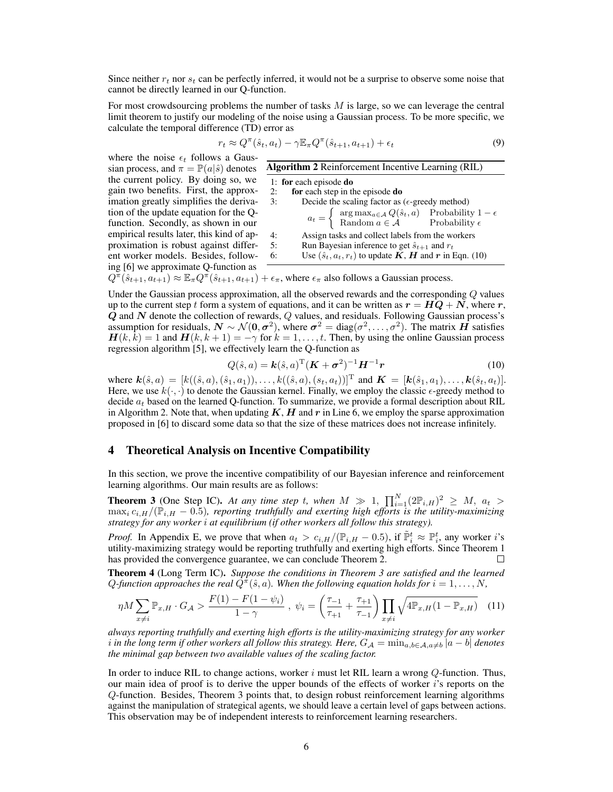Since neither  $r_t$  nor  $s_t$  can be perfectly inferred, it would not be a surprise to observe some noise that cannot be directly learned in our Q-function.

For most crowdsourcing problems the number of tasks  $M$  is large, so we can leverage the central limit theorem to justify our modeling of the noise using a Gaussian process. To be more specific, we calculate the temporal difference (TD) error as

$$
r_t \approx Q^{\pi}(\hat{s}_t, a_t) - \gamma \mathbb{E}_{\pi} Q^{\pi}(\hat{s}_{t+1}, a_{t+1}) + \epsilon_t
$$
\n
$$
\tag{9}
$$

where the noise  $\epsilon_t$  follows a Gaussian process, and  $\pi = \mathbb{P}(a|\hat{s})$  denotes the current policy. By doing so, we gain two benefits. First, the approximation greatly simplifies the derivation of the update equation for the Qfunction. Secondly, as shown in our empirical results later, this kind of approximation is robust against different worker models. Besides, following [6] we approximate Q-function as  $\epsilon$ 

| <b>Algorithm 2</b> Reinforcement Incentive Learning (RIL) |                                                                                                                                                                                       |  |  |  |  |  |
|-----------------------------------------------------------|---------------------------------------------------------------------------------------------------------------------------------------------------------------------------------------|--|--|--|--|--|
|                                                           | 1: for each episode do                                                                                                                                                                |  |  |  |  |  |
| 2:                                                        | for each step in the episode do                                                                                                                                                       |  |  |  |  |  |
| 3:                                                        | Decide the scaling factor as ( $\epsilon$ -greedy method)                                                                                                                             |  |  |  |  |  |
|                                                           |                                                                                                                                                                                       |  |  |  |  |  |
|                                                           | $a_t = \begin{cases} \arg \max_{a \in \mathcal{A}} Q(\hat{s}_t, a) & \text{Probability } 1 - \epsilon \\ \text{Random } a \in \mathcal{A} & \text{Probability } \epsilon \end{cases}$ |  |  |  |  |  |
| 4:                                                        | Assign tasks and collect labels from the workers                                                                                                                                      |  |  |  |  |  |
| 5:                                                        | Run Bayesian inference to get $\hat{s}_{t+1}$ and $r_t$                                                                                                                               |  |  |  |  |  |
| 6:                                                        | Use $(\hat{s}_t, a_t, r_t)$ to update $K$ , $H$ and $r$ in Eqn. (10)                                                                                                                  |  |  |  |  |  |
|                                                           |                                                                                                                                                                                       |  |  |  |  |  |

$$
Q^{\pi}(\hat{s}_{t+1}, a_{t+1}) \approx \mathbb{E}_{\pi} Q^{\pi}(\hat{s}_{t+1}, a_{t+1}) + \epsilon_{\pi}
$$
, where  $\epsilon_{\pi}$  also follows a Gaussian process.

Under the Gaussian process approximation, all the observed rewards and the corresponding Q values up to the current step t form a system of equations, and it can be written as  $r = HQ + N$ , where r,  $\bf{Q}$  and  $\bf{N}$  denote the collection of rewards,  $\bf{Q}$  values, and residuals. Following Gaussian process's assumption for residuals,  $N \sim \mathcal{N}(0, \sigma^2)$ , where  $\sigma^2 = \text{diag}(\sigma^2, \dots, \sigma^2)$ . The matrix  $\vec{H}$  satisfies  $H(k, k) = 1$  and  $H(k, k + 1) = -\gamma$  for  $k = 1, \dots, t$ . Then, by using the online Gaussian process regression algorithm [5], we effectively learn the Q-function as

$$
Q(\hat{s}, a) = \mathbf{k}(\hat{s}, a)^{\mathrm{T}} (\mathbf{K} + \boldsymbol{\sigma}^2)^{-1} \mathbf{H}^{-1} \mathbf{r}
$$
 (10)

where  $\mathbf{k}(\hat{s}, a) = [k((\hat{s}, a), (\hat{s}_1, a_1)), \dots, k((\hat{s}, a), (s_t, a_t))]^{\text{T}}$  and  $\mathbf{K} = [\mathbf{k}(\hat{s}_1, a_1), \dots, \mathbf{k}(\hat{s}_t, a_t)].$ Here, we use  $k(\cdot, \cdot)$  to denote the Gaussian kernel. Finally, we employ the classic  $\epsilon$ -greedy method to decide  $a_t$  based on the learned Q-function. To summarize, we provide a formal description about RIL in Algorithm 2. Note that, when updating  $K$ ,  $H$  and  $r$  in Line 6, we employ the sparse approximation proposed in [6] to discard some data so that the size of these matrices does not increase infinitely.

## 4 Theoretical Analysis on Incentive Compatibility

In this section, we prove the incentive compatibility of our Bayesian inference and reinforcement learning algorithms. Our main results are as follows:

**Theorem 3** (One Step IC). At any time step t, when  $M \gg 1$ ,  $\prod_{i=1}^{N} (2\mathbb{P}_{i,H})^2 \geq M$ ,  $a_t >$  $\max_i c_{i,H}/(\hat{\mathbb{P}}_{i,H} - 0.5)$ *, reporting truthfully and exerting high efforts is the utility-maximizing strategy for any worker* i *at equilibrium (if other workers all follow this strategy).*

*Proof.* In Appendix E, we prove that when  $a_t > c_{i,H}/(\mathbb{P}_{i,H} - 0.5)$ , if  $\tilde{\mathbb{P}}_i^t \approx \mathbb{P}_i^t$ , any worker i's utility-maximizing strategy would be reporting truthfully and exerting high efforts. Since Theorem 1 has provided the convergence guarantee, we can conclude Theorem 2.

Theorem 4 (Long Term IC). *Suppose the conditions in Theorem 3 are satisfied and the learned*  $Q$ -function approaches the real  $\tilde{Q}^{\pi}(\hat{s}, a)$ . When the following equation holds for  $i = 1, \ldots, N$ ,

$$
\eta M \sum_{x \neq i} \mathbb{P}_{x,H} \cdot G_{\mathcal{A}} > \frac{F(1) - F(1 - \psi_i)}{1 - \gamma} \,, \, \psi_i = \left(\frac{\tau_{-1}}{\tau_{+1}} + \frac{\tau_{+1}}{\tau_{-1}}\right) \prod_{x \neq i} \sqrt{4 \mathbb{P}_{x,H} (1 - \mathbb{P}_{x,H})} \tag{11}
$$

*always reporting truthfully and exerting high efforts is the utility-maximizing strategy for any worker i* in the long term if other workers all follow this strategy. Here,  $G_A = \min_{a,b \in A, a \neq b} |a-b|$  denotes *the minimal gap between two available values of the scaling factor.*

In order to induce RIL to change actions, worker  $i$  must let RIL learn a wrong  $Q$ -function. Thus, our main idea of proof is to derive the upper bounds of the effects of worker  $i$ 's reports on the Q-function. Besides, Theorem 3 points that, to design robust reinforcement learning algorithms against the manipulation of strategical agents, we should leave a certain level of gaps between actions. This observation may be of independent interests to reinforcement learning researchers.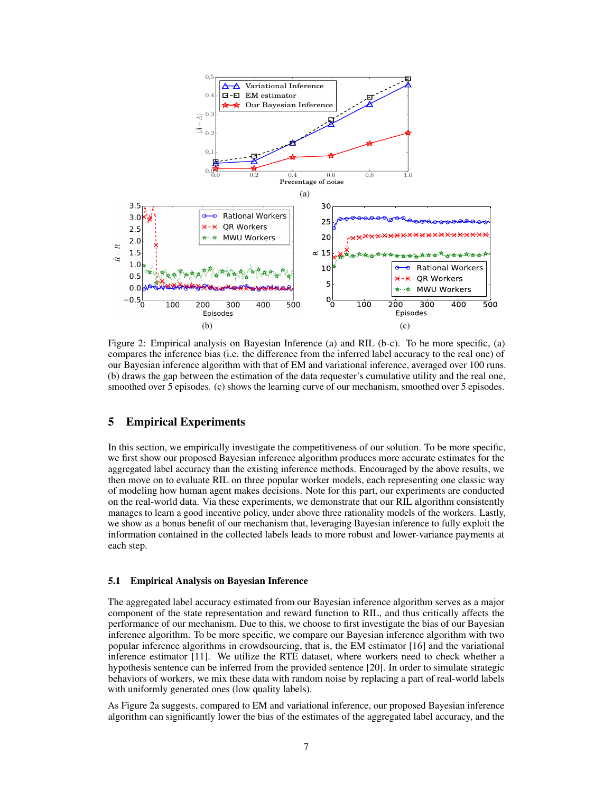

Figure 2: Empirical analysis on Bayesian Inference (a) and RIL (b-c). To be more specific, (a) compares the inference bias (i.e. the difference from the inferred label accuracy to the real one) of our Bayesian inference algorithm with that of EM and variational inference, averaged over 100 runs. (b) draws the gap between the estimation of the data requester's cumulative utility and the real one, smoothed over 5 episodes. (c) shows the learning curve of our mechanism, smoothed over 5 episodes.

## 5 Empirical Experiments

In this section, we empirically investigate the competitiveness of our solution. To be more specific, we first show our proposed Bayesian inference algorithm produces more accurate estimates for the aggregated label accuracy than the existing inference methods. Encouraged by the above results, we then move on to evaluate RIL on three popular worker models, each representing one classic way of modeling how human agent makes decisions. Note for this part, our experiments are conducted on the real-world data. Via these experiments, we demonstrate that our RIL algorithm consistently manages to learn a good incentive policy, under above three rationality models of the workers. Lastly, we show as a bonus benefit of our mechanism that, leveraging Bayesian inference to fully exploit the information contained in the collected labels leads to more robust and lower-variance payments at each step.

#### 5.1 Empirical Analysis on Bayesian Inference

The aggregated label accuracy estimated from our Bayesian inference algorithm serves as a major component of the state representation and reward function to RIL, and thus critically affects the performance of our mechanism. Due to this, we choose to first investigate the bias of our Bayesian inference algorithm. To be more specific, we compare our Bayesian inference algorithm with two popular inference algorithms in crowdsourcing, that is, the EM estimator [16] and the variational inference estimator [11]. We utilize the RTE dataset, where workers need to check whether a hypothesis sentence can be inferred from the provided sentence [20]. In order to simulate strategic behaviors of workers, we mix these data with random noise by replacing a part of real-world labels with uniformly generated ones (low quality labels).

As Figure 2a suggests, compared to EM and variational inference, our proposed Bayesian inference algorithm can significantly lower the bias of the estimates of the aggregated label accuracy, and the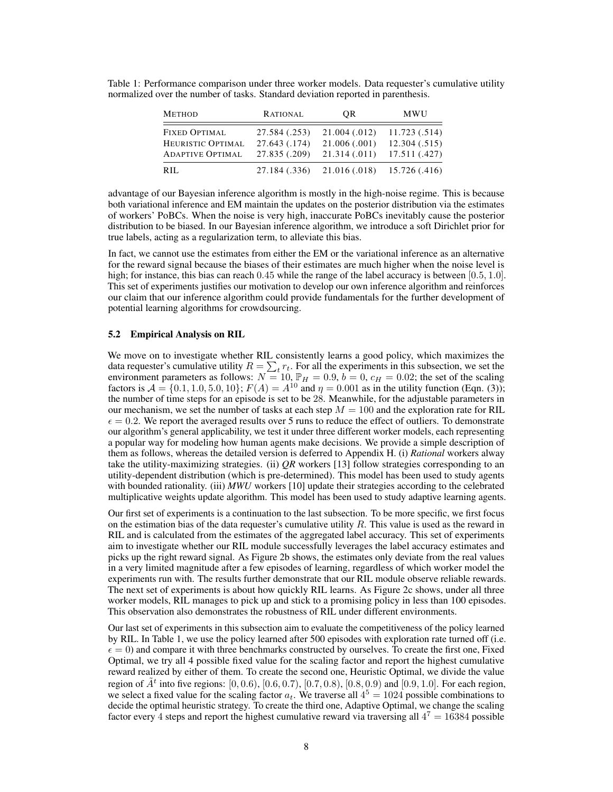| <b>METHOD</b>           | RATIONAL      | <b>OR</b>     | <b>MWU</b>    |
|-------------------------|---------------|---------------|---------------|
| <b>FIXED OPTIMAL</b>    | 27.584 (.253) | 21.004 (.012) | 11.723 (.514) |
| HEURISTIC OPTIMAL       | 27.643 (.174) | 21.006(.001)  | 12.304(.515)  |
| <b>ADAPTIVE OPTIMAL</b> | 27.835 (.209) | 21.314(.011)  | 17.511 (.427) |
| RIL.                    | 27.184 (.336) | 21.016 (.018) | 15.726 (.416) |

Table 1: Performance comparison under three worker models. Data requester's cumulative utility normalized over the number of tasks. Standard deviation reported in parenthesis.

advantage of our Bayesian inference algorithm is mostly in the high-noise regime. This is because both variational inference and EM maintain the updates on the posterior distribution via the estimates of workers' PoBCs. When the noise is very high, inaccurate PoBCs inevitably cause the posterior distribution to be biased. In our Bayesian inference algorithm, we introduce a soft Dirichlet prior for true labels, acting as a regularization term, to alleviate this bias.

In fact, we cannot use the estimates from either the EM or the variational inference as an alternative for the reward signal because the biases of their estimates are much higher when the noise level is high; for instance, this bias can reach 0.45 while the range of the label accuracy is between [0.5, 1.0]. This set of experiments justifies our motivation to develop our own inference algorithm and reinforces our claim that our inference algorithm could provide fundamentals for the further development of potential learning algorithms for crowdsourcing.

## 5.2 Empirical Analysis on RIL

We move on to investigate whether RIL consistently learns a good policy, which maximizes the data requester's cumulative utility  $R = \sum_t r_t$ . For all the experiments in this subsection, we set the environment parameters as follows:  $N = 10$ ,  $\mathbb{P}_H = 0.9$ ,  $b = 0$ ,  $c_H = 0.02$ ; the set of the scaling factors is  $A = \{0.1, 1.0, 5.0, 10\}$ ;  $F(A) = A^{10}$  and  $\eta = 0.001$  as in the utility function (Eqn. (3)); the number of time steps for an episode is set to be 28. Meanwhile, for the adjustable parameters in our mechanism, we set the number of tasks at each step  $M = 100$  and the exploration rate for RIL  $\epsilon = 0.2$ . We report the averaged results over 5 runs to reduce the effect of outliers. To demonstrate our algorithm's general applicability, we test it under three different worker models, each representing a popular way for modeling how human agents make decisions. We provide a simple description of them as follows, whereas the detailed version is deferred to Appendix H. (i) *Rational* workers alway take the utility-maximizing strategies. (ii) *QR* workers [13] follow strategies corresponding to an utility-dependent distribution (which is pre-determined). This model has been used to study agents with bounded rationality. (iii) *MWU* workers [10] update their strategies according to the celebrated multiplicative weights update algorithm. This model has been used to study adaptive learning agents.

Our first set of experiments is a continuation to the last subsection. To be more specific, we first focus on the estimation bias of the data requester's cumulative utility  $R$ . This value is used as the reward in RIL and is calculated from the estimates of the aggregated label accuracy. This set of experiments aim to investigate whether our RIL module successfully leverages the label accuracy estimates and picks up the right reward signal. As Figure 2b shows, the estimates only deviate from the real values in a very limited magnitude after a few episodes of learning, regardless of which worker model the experiments run with. The results further demonstrate that our RIL module observe reliable rewards. The next set of experiments is about how quickly RIL learns. As Figure 2c shows, under all three worker models, RIL manages to pick up and stick to a promising policy in less than 100 episodes. This observation also demonstrates the robustness of RIL under different environments.

Our last set of experiments in this subsection aim to evaluate the competitiveness of the policy learned by RIL. In Table 1, we use the policy learned after 500 episodes with exploration rate turned off (i.e.  $\epsilon = 0$ ) and compare it with three benchmarks constructed by ourselves. To create the first one, Fixed Optimal, we try all 4 possible fixed value for the scaling factor and report the highest cumulative reward realized by either of them. To create the second one, Heuristic Optimal, we divide the value region of  $\tilde{A}^t$  into five regions: [0, 0.6), [0.6, 0.7), [0.7, 0.8), [0.8, 0.9) and [0.9, 1.0]. For each region, we select a fixed value for the scaling factor  $a_t$ . We traverse all  $4^5 = 1024$  possible combinations to decide the optimal heuristic strategy. To create the third one, Adaptive Optimal, we change the scaling factor every 4 steps and report the highest cumulative reward via traversing all  $4^7 = 16384$  possible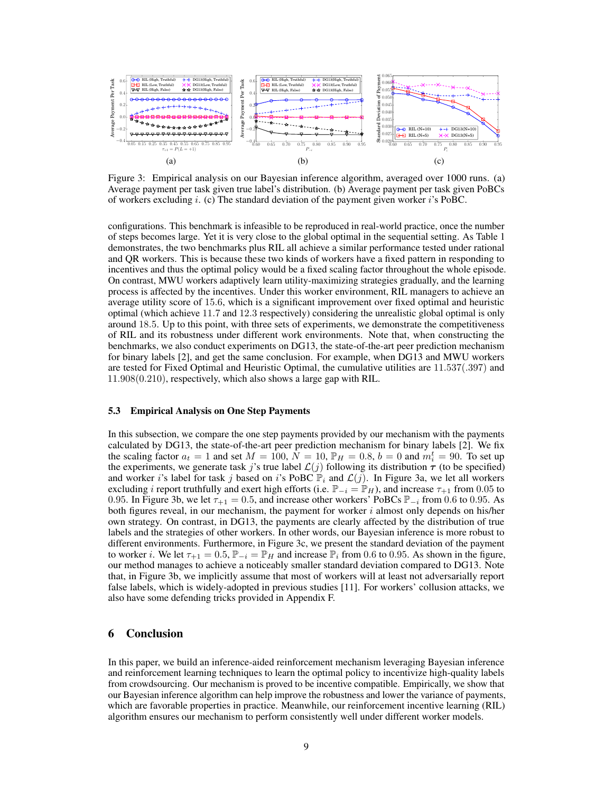

Figure 3: Empirical analysis on our Bayesian inference algorithm, averaged over 1000 runs. (a) Average payment per task given true label's distribution. (b) Average payment per task given PoBCs of workers excluding i. (c) The standard deviation of the payment given worker i's PoBC.

configurations. This benchmark is infeasible to be reproduced in real-world practice, once the number of steps becomes large. Yet it is very close to the global optimal in the sequential setting. As Table 1 demonstrates, the two benchmarks plus RIL all achieve a similar performance tested under rational and QR workers. This is because these two kinds of workers have a fixed pattern in responding to incentives and thus the optimal policy would be a fixed scaling factor throughout the whole episode. On contrast, MWU workers adaptively learn utility-maximizing strategies gradually, and the learning process is affected by the incentives. Under this worker environment, RIL managers to achieve an average utility score of 15.6, which is a significant improvement over fixed optimal and heuristic optimal (which achieve 11.7 and 12.3 respectively) considering the unrealistic global optimal is only around 18.5. Up to this point, with three sets of experiments, we demonstrate the competitiveness of RIL and its robustness under different work environments. Note that, when constructing the benchmarks, we also conduct experiments on DG13, the state-of-the-art peer prediction mechanism for binary labels [2], and get the same conclusion. For example, when DG13 and MWU workers are tested for Fixed Optimal and Heuristic Optimal, the cumulative utilities are 11.537(.397) and 11.908(0.210), respectively, which also shows a large gap with RIL.

## 5.3 Empirical Analysis on One Step Payments

In this subsection, we compare the one step payments provided by our mechanism with the payments calculated by DG13, the state-of-the-art peer prediction mechanism for binary labels [2]. We fix the scaling factor  $a_t = 1$  and set  $M = 100$ ,  $\dot{N} = 10$ ,  $\mathbb{P}_H = 0.8$ ,  $b = 0$  and  $m_i^t = 90$ . To set up the experiments, we generate task j's true label  $\mathcal{L}(j)$  following its distribution  $\tau$  (to be specified) and worker i's label for task j based on i's PoBC  $\mathbb{P}_i$  and  $\mathcal{L}(j)$ . In Figure 3a, we let all workers excluding *i* report truthfully and exert high efforts (i.e.  $\mathbb{P}_{-i} = \mathbb{P}_H$ ), and increase  $\tau_{+1}$  from 0.05 to 0.95. In Figure 3b, we let  $\tau_{+1} = 0.5$ , and increase other workers' PoBCs  $\mathbb{P}_{-i}$  from 0.6 to 0.95. As both figures reveal, in our mechanism, the payment for worker  $i$  almost only depends on his/her own strategy. On contrast, in DG13, the payments are clearly affected by the distribution of true labels and the strategies of other workers. In other words, our Bayesian inference is more robust to different environments. Furthermore, in Figure 3c, we present the standard deviation of the payment to worker i. We let  $\tau_{+1} = 0.5$ ,  $\mathbb{P}_{-i} = \mathbb{P}_H$  and increase  $\mathbb{P}_i$  from 0.6 to 0.95. As shown in the figure, our method manages to achieve a noticeably smaller standard deviation compared to DG13. Note that, in Figure 3b, we implicitly assume that most of workers will at least not adversarially report false labels, which is widely-adopted in previous studies [11]. For workers' collusion attacks, we also have some defending tricks provided in Appendix F.

## 6 Conclusion

In this paper, we build an inference-aided reinforcement mechanism leveraging Bayesian inference and reinforcement learning techniques to learn the optimal policy to incentivize high-quality labels from crowdsourcing. Our mechanism is proved to be incentive compatible. Empirically, we show that our Bayesian inference algorithm can help improve the robustness and lower the variance of payments, which are favorable properties in practice. Meanwhile, our reinforcement incentive learning (RIL) algorithm ensures our mechanism to perform consistently well under different worker models.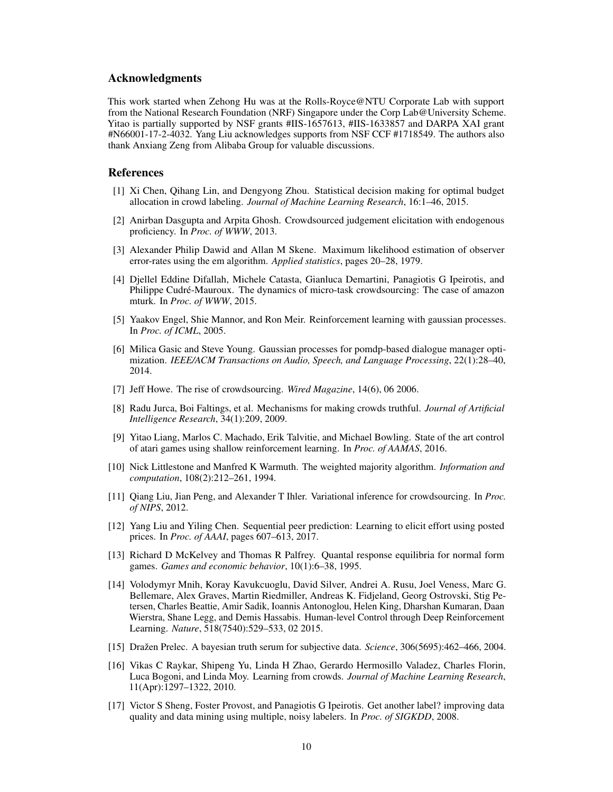## Acknowledgments

This work started when Zehong Hu was at the Rolls-Royce@NTU Corporate Lab with support from the National Research Foundation (NRF) Singapore under the Corp Lab@University Scheme. Yitao is partially supported by NSF grants #IIS-1657613, #IIS-1633857 and DARPA XAI grant #N66001-17-2-4032. Yang Liu acknowledges supports from NSF CCF #1718549. The authors also thank Anxiang Zeng from Alibaba Group for valuable discussions.

## References

- [1] Xi Chen, Qihang Lin, and Dengyong Zhou. Statistical decision making for optimal budget allocation in crowd labeling. *Journal of Machine Learning Research*, 16:1–46, 2015.
- [2] Anirban Dasgupta and Arpita Ghosh. Crowdsourced judgement elicitation with endogenous proficiency. In *Proc. of WWW*, 2013.
- [3] Alexander Philip Dawid and Allan M Skene. Maximum likelihood estimation of observer error-rates using the em algorithm. *Applied statistics*, pages 20–28, 1979.
- [4] Djellel Eddine Difallah, Michele Catasta, Gianluca Demartini, Panagiotis G Ipeirotis, and Philippe Cudré-Mauroux. The dynamics of micro-task crowdsourcing: The case of amazon mturk. In *Proc. of WWW*, 2015.
- [5] Yaakov Engel, Shie Mannor, and Ron Meir. Reinforcement learning with gaussian processes. In *Proc. of ICML*, 2005.
- [6] Milica Gasic and Steve Young. Gaussian processes for pomdp-based dialogue manager optimization. *IEEE/ACM Transactions on Audio, Speech, and Language Processing*, 22(1):28–40, 2014.
- [7] Jeff Howe. The rise of crowdsourcing. *Wired Magazine*, 14(6), 06 2006.
- [8] Radu Jurca, Boi Faltings, et al. Mechanisms for making crowds truthful. *Journal of Artificial Intelligence Research*, 34(1):209, 2009.
- [9] Yitao Liang, Marlos C. Machado, Erik Talvitie, and Michael Bowling. State of the art control of atari games using shallow reinforcement learning. In *Proc. of AAMAS*, 2016.
- [10] Nick Littlestone and Manfred K Warmuth. The weighted majority algorithm. *Information and computation*, 108(2):212–261, 1994.
- [11] Qiang Liu, Jian Peng, and Alexander T Ihler. Variational inference for crowdsourcing. In *Proc. of NIPS*, 2012.
- [12] Yang Liu and Yiling Chen. Sequential peer prediction: Learning to elicit effort using posted prices. In *Proc. of AAAI*, pages 607–613, 2017.
- [13] Richard D McKelvey and Thomas R Palfrey. Quantal response equilibria for normal form games. *Games and economic behavior*, 10(1):6–38, 1995.
- [14] Volodymyr Mnih, Koray Kavukcuoglu, David Silver, Andrei A. Rusu, Joel Veness, Marc G. Bellemare, Alex Graves, Martin Riedmiller, Andreas K. Fidjeland, Georg Ostrovski, Stig Petersen, Charles Beattie, Amir Sadik, Ioannis Antonoglou, Helen King, Dharshan Kumaran, Daan Wierstra, Shane Legg, and Demis Hassabis. Human-level Control through Deep Reinforcement Learning. *Nature*, 518(7540):529–533, 02 2015.
- [15] Dražen Prelec. A bayesian truth serum for subjective data. *Science*, 306(5695):462–466, 2004.
- [16] Vikas C Raykar, Shipeng Yu, Linda H Zhao, Gerardo Hermosillo Valadez, Charles Florin, Luca Bogoni, and Linda Moy. Learning from crowds. *Journal of Machine Learning Research*, 11(Apr):1297–1322, 2010.
- [17] Victor S Sheng, Foster Provost, and Panagiotis G Ipeirotis. Get another label? improving data quality and data mining using multiple, noisy labelers. In *Proc. of SIGKDD*, 2008.